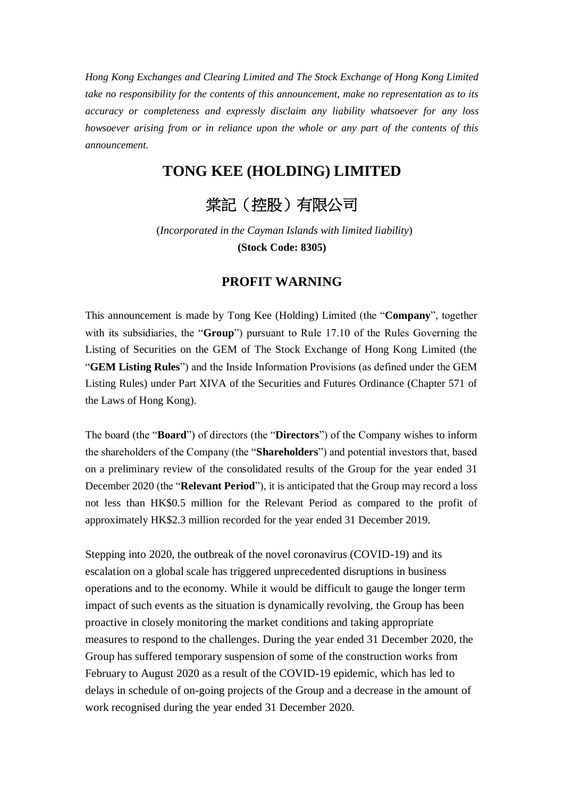*Hong Kong Exchanges and Clearing Limited and The Stock Exchange of Hong Kong Limited take no responsibility for the contents of this announcement, make no representation as to its accuracy or completeness and expressly disclaim any liability whatsoever for any loss howsoever arising from or in reliance upon the whole or any part of the contents of this announcement.* 

## **TONG KEE (HOLDING) LIMITED**

## 棠記(控股)有限公司

(*Incorporated in the Cayman Islands with limited liability*) **(Stock Code: 8305)**

## **PROFIT WARNING**

This announcement is made by Tong Kee (Holding) Limited (the "**Company**", together with its subsidiaries, the "**Group**") pursuant to Rule 17.10 of the Rules Governing the Listing of Securities on the GEM of The Stock Exchange of Hong Kong Limited (the "**GEM Listing Rules**") and the Inside Information Provisions (as defined under the GEM Listing Rules) under Part XIVA of the Securities and Futures Ordinance (Chapter 571 of the Laws of Hong Kong).

The board (the "**Board**") of directors (the "**Directors**") of the Company wishes to inform the shareholders of the Company (the "**Shareholders**") and potential investors that, based on a preliminary review of the consolidated results of the Group for the year ended 31 December 2020 (the "**Relevant Period**"), it is anticipated that the Group may record a loss not less than HK\$0.5 million for the Relevant Period as compared to the profit of approximately HK\$2.3 million recorded for the year ended 31 December 2019.

Stepping into 2020, the outbreak of the novel coronavirus (COVID-19) and its escalation on a global scale has triggered unprecedented disruptions in business operations and to the economy. While it would be difficult to gauge the longer term impact of such events as the situation is dynamically revolving, the Group has been proactive in closely monitoring the market conditions and taking appropriate measures to respond to the challenges. During the year ended 31 December 2020, the Group has suffered temporary suspension of some of the construction works from February to August 2020 as a result of the COVID-19 epidemic, which has led to delays in schedule of on-going projects of the Group and a decrease in the amount of work recognised during the year ended 31 December 2020.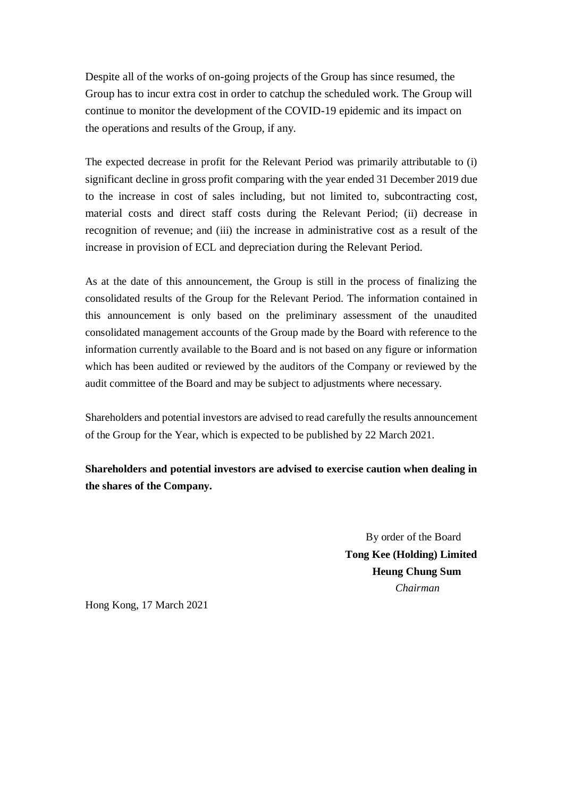Despite all of the works of on-going projects of the Group has since resumed, the Group has to incur extra cost in order to catchup the scheduled work. The Group will continue to monitor the development of the COVID-19 epidemic and its impact on the operations and results of the Group, if any.

The expected decrease in profit for the Relevant Period was primarily attributable to (i) significant decline in gross profit comparing with the year ended 31 December 2019 due to the increase in cost of sales including, but not limited to, subcontracting cost, material costs and direct staff costs during the Relevant Period; (ii) decrease in recognition of revenue; and (iii) the increase in administrative cost as a result of the increase in provision of ECL and depreciation during the Relevant Period.

As at the date of this announcement, the Group is still in the process of finalizing the consolidated results of the Group for the Relevant Period. The information contained in this announcement is only based on the preliminary assessment of the unaudited consolidated management accounts of the Group made by the Board with reference to the information currently available to the Board and is not based on any figure or information which has been audited or reviewed by the auditors of the Company or reviewed by the audit committee of the Board and may be subject to adjustments where necessary.

Shareholders and potential investors are advised to read carefully the results announcement of the Group for the Year, which is expected to be published by 22 March 2021.

## **Shareholders and potential investors are advised to exercise caution when dealing in the shares of the Company.**

By order of the Board **Tong Kee (Holding) Limited Heung Chung Sum** *Chairman*

Hong Kong, 17 March 2021